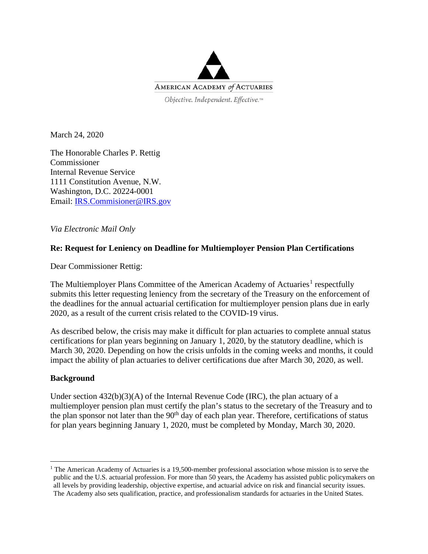

March 24, 2020

The Honorable Charles P. Rettig Commissioner Internal Revenue Service 1111 Constitution Avenue, N.W. Washington, D.C. 20224-0001 Email: [IRS.Commisioner@IRS.gov](mailto:IRS.Commisioner@IRS.gov)

*Via Electronic Mail Only*

## **Re: Request for Leniency on Deadline for Multiemployer Pension Plan Certifications**

Dear Commissioner Rettig:

The Multiemployer Plans Committee of the American Academy of Actuaries<sup>[1](#page-0-0)</sup> respectfully submits this letter requesting leniency from the secretary of the Treasury on the enforcement of the deadlines for the annual actuarial certification for multiemployer pension plans due in early 2020, as a result of the current crisis related to the COVID-19 virus.

As described below, the crisis may make it difficult for plan actuaries to complete annual status certifications for plan years beginning on January 1, 2020, by the statutory deadline, which is March 30, 2020. Depending on how the crisis unfolds in the coming weeks and months, it could impact the ability of plan actuaries to deliver certifications due after March 30, 2020, as well.

## **Background**

Under section  $432(b)(3)(A)$  of the Internal Revenue Code (IRC), the plan actuary of a multiemployer pension plan must certify the plan's status to the secretary of the Treasury and to the plan sponsor not later than the  $90<sup>th</sup>$  day of each plan year. Therefore, certifications of status for plan years beginning January 1, 2020, must be completed by Monday, March 30, 2020.

<span id="page-0-0"></span><sup>&</sup>lt;sup>1</sup> The American Academy of Actuaries is a 19,500-member professional association whose mission is to serve the public and the U.S. actuarial profession. For more than 50 years, the Academy has assisted public policymakers on all levels by providing leadership, objective expertise, and actuarial advice on risk and financial security issues. The Academy also sets qualification, practice, and professionalism standards for actuaries in the United States.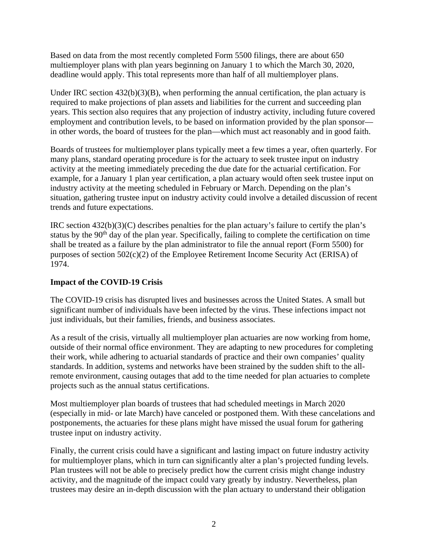Based on data from the most recently completed Form 5500 filings, there are about 650 multiemployer plans with plan years beginning on January 1 to which the March 30, 2020, deadline would apply. This total represents more than half of all multiemployer plans.

Under IRC section  $432(b)(3)(B)$ , when performing the annual certification, the plan actuary is required to make projections of plan assets and liabilities for the current and succeeding plan years. This section also requires that any projection of industry activity, including future covered employment and contribution levels, to be based on information provided by the plan sponsor in other words, the board of trustees for the plan—which must act reasonably and in good faith.

Boards of trustees for multiemployer plans typically meet a few times a year, often quarterly. For many plans, standard operating procedure is for the actuary to seek trustee input on industry activity at the meeting immediately preceding the due date for the actuarial certification. For example, for a January 1 plan year certification, a plan actuary would often seek trustee input on industry activity at the meeting scheduled in February or March. Depending on the plan's situation, gathering trustee input on industry activity could involve a detailed discussion of recent trends and future expectations.

IRC section 432(b)(3)(C) describes penalties for the plan actuary's failure to certify the plan's status by the 90<sup>th</sup> day of the plan year. Specifically, failing to complete the certification on time shall be treated as a failure by the plan administrator to file the annual report (Form 5500) for purposes of section 502(c)(2) of the Employee Retirement Income Security Act (ERISA) of 1974.

## **Impact of the COVID-19 Crisis**

The COVID-19 crisis has disrupted lives and businesses across the United States. A small but significant number of individuals have been infected by the virus. These infections impact not just individuals, but their families, friends, and business associates.

As a result of the crisis, virtually all multiemployer plan actuaries are now working from home, outside of their normal office environment. They are adapting to new procedures for completing their work, while adhering to actuarial standards of practice and their own companies' quality standards. In addition, systems and networks have been strained by the sudden shift to the allremote environment, causing outages that add to the time needed for plan actuaries to complete projects such as the annual status certifications.

Most multiemployer plan boards of trustees that had scheduled meetings in March 2020 (especially in mid- or late March) have canceled or postponed them. With these cancelations and postponements, the actuaries for these plans might have missed the usual forum for gathering trustee input on industry activity.

Finally, the current crisis could have a significant and lasting impact on future industry activity for multiemployer plans, which in turn can significantly alter a plan's projected funding levels. Plan trustees will not be able to precisely predict how the current crisis might change industry activity, and the magnitude of the impact could vary greatly by industry. Nevertheless, plan trustees may desire an in-depth discussion with the plan actuary to understand their obligation